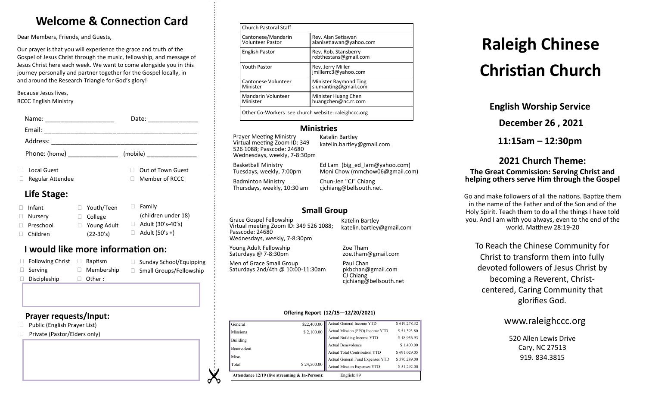# **Welcome & Connection Card**

Dear Members, Friends, and Guests,

Our prayer is that you will experience the grace and truth of the Gospel of Jesus Christ through the music, fellowship, and message of Jesus Christ here each week. We want to come alongside you in this journey personally and partner together for the Gospel locally, in and around the Research Triangle for God's glory!

Because Jesus lives, RCCC English Ministry

| Name:<br><u> 1980 - Jan Samuel Barbara, margaret e</u>                                                                                                                                                                                                                                                                                                                                                                                                          | Date:<br>the control of the control of the |
|-----------------------------------------------------------------------------------------------------------------------------------------------------------------------------------------------------------------------------------------------------------------------------------------------------------------------------------------------------------------------------------------------------------------------------------------------------------------|--------------------------------------------|
| Email:<br>$\begin{tabular}{ccccc} \multicolumn{2}{c }{\textbf{1} & \multicolumn{2}{c }{\textbf{2} & \multicolumn{2}{c }{\textbf{3} & \multicolumn{2}{c }{\textbf{4} & \multicolumn{2}{c }{\textbf{5} & \multicolumn{2}{c }{\textbf{6} & \multicolumn{2}{c }{\textbf{6} & \multicolumn{2}{c }{\textbf{6} & \multicolumn{2}{c }{\textbf{6} & \multicolumn{2}{c }{\textbf{6} & \multicolumn{2}{c }{\textbf{6} & \multicolumn{2}{c }{\textbf{6} & \multicolumn{2}{$ |                                            |
|                                                                                                                                                                                                                                                                                                                                                                                                                                                                 |                                            |
| Phone: (home) _______________                                                                                                                                                                                                                                                                                                                                                                                                                                   |                                            |
| <b>Local Guest</b><br>Regular Attendee                                                                                                                                                                                                                                                                                                                                                                                                                          | Out of Town Guest<br>Member of RCCC        |
| Life Stage:                                                                                                                                                                                                                                                                                                                                                                                                                                                     |                                            |

#### □ Infant □ Nurserv □ Preschool Children □ Family (children under 18)  $\Box$  Adult (30's-40's)  $\Box$  Adult (50's +) Youth/Teen College □ Young Adult (22-30's)

# **I would like more information on:**

| $\Box$ Following Christ | Baptism           | □ Sunday School/Equipping      |
|-------------------------|-------------------|--------------------------------|
| $\Box$ Serving          | $\Box$ Membership | $\Box$ Small Groups/Fellowship |
| $\Box$ Discipleship     | $\Box$ Other:     |                                |

### **Prayer requests/Input:**

- □ Public (English Prayer List)
- □ Private (Pastor/Elders only)

| <b>Church Pastoral Staff</b>                        |                                               |  |
|-----------------------------------------------------|-----------------------------------------------|--|
| Cantonese/Mandarin<br><b>Volunteer Pastor</b>       | Rev. Alan Setiawan<br>alanlsetiawan@yahoo.com |  |
| <b>English Pastor</b>                               | Rev. Rob. Stansberry<br>robthestans@gmail.com |  |
| <b>Youth Pastor</b>                                 | Rev. Jerry Miller<br>jmillerrc3@yahoo.com     |  |
| Cantonese Volunteer<br>Minister                     | Minister Raymond Ting<br>siumanting@gmail.com |  |
| Mandarin Volunteer<br>Minister                      | Minister Huang Chen<br>huangchen@nc.rr.com    |  |
| Other Co-Workers see church website: raleighccc.org |                                               |  |

### **Ministries**

Prayer Meeting Ministry Virtual meeting Zoom ID: 349 526 1088; Passcode: 24680 Wednesdays, weekly, 7-8:30pm

Katelin Bartley katelin.bartley@gmail.com

Basketball Ministry Tuesdays, weekly, 7:00pm

Badminton Ministry Thursdays, weekly, 10:30 am

Moni Chow (mmchow06@gmail.com) Chun-Jen "CJ" Chiang cjchiang@bellsouth.net.

Ed Lam (big\_ed\_lam@yahoo.com)

# **Small Group**

Grace Gospel Fellowship Virtual meeting Zoom ID: 349 526 1088; Passcode: 24680 Wednesdays, weekly, 7-8:30pm

Saturdays 2nd/4th @ 10:00-11:30am

Young Adult Fellowship Saturdays @ 7-8:30pm

Men of Grace Small Group

Katelin Bartley katelin.bartley@gmail.com

Zoe Tham zoe.tham@gmail.com

Paul Chan pkbchan@gmail.com CJ Chiang cjchiang@bellsouth.net

#### **Offering Report (12/15—12/20/2021)**

| Attendance 12/19 (live streaming & In-Person):<br>English: 89 |             |                                      |              |
|---------------------------------------------------------------|-------------|--------------------------------------|--------------|
| Total                                                         | \$24,500.00 | <b>Actual Mission Expenses YTD</b>   | \$51,292.00  |
| Misc.                                                         |             | Actual General Fund Expenses YTD     | \$570,289.00 |
|                                                               |             | <b>Actual Total Contribution YTD</b> | \$691,029.05 |
| Benevolent                                                    |             | <b>Actual Benevolence</b>            | \$1,400.00   |
| Building                                                      |             | Actual Building Income YTD           | \$18,956.93  |
| <b>Missions</b>                                               | \$2,100.00  | Actual Mission (FPO) Income YTD      | \$51,393.80  |
| General                                                       | \$22,400.00 | Actual General Income YTD            | \$619,278.32 |

# **Raleigh Chinese Christian Church**

**English Worship Service**

**December 26 , 2021**

**11:15am – 12:30pm**

### **2021 Church Theme: The Great Commission: Serving Christ and helping others serve Him through the Gospel**

Go and make followers of all the nations. Baptize them in the name of the Father and of the Son and of the Holy Spirit. Teach them to do all the things I have told you. And I am with you always, even to the end of the world. Matthew 28:19-20

To Reach the Chinese Community for Christ to transform them into fully devoted followers of Jesus Christ by becoming a Reverent, Christcentered, Caring Community that glorifies God.

# www.raleighccc.org

520 Allen Lewis Drive Cary, NC 27513 919.834.3815